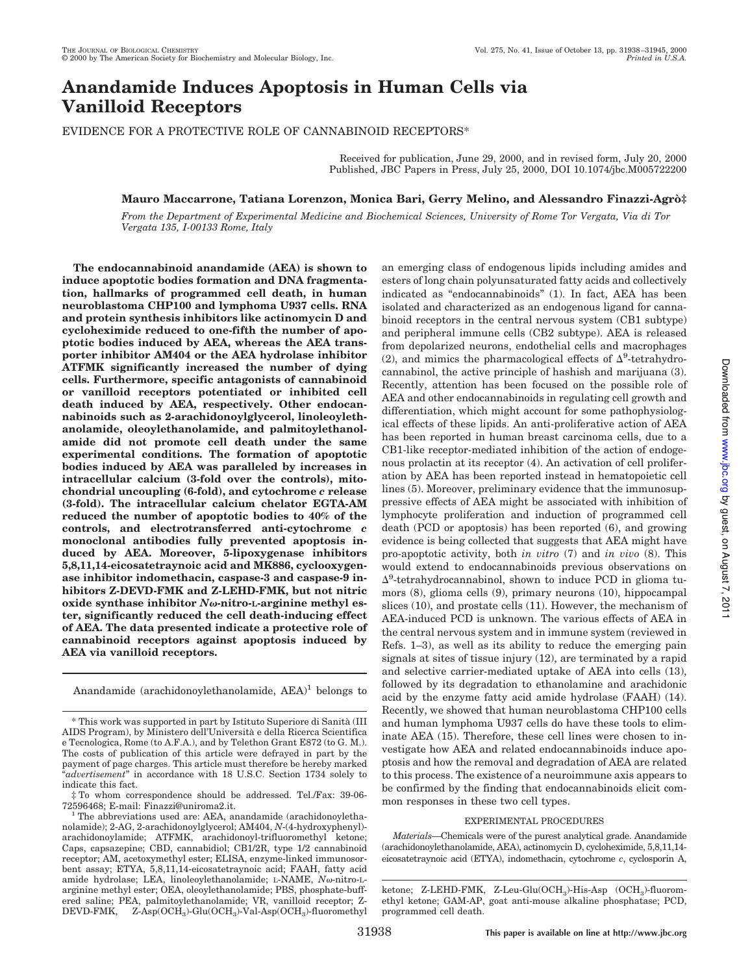# **Anandamide Induces Apoptosis in Human Cells via Vanilloid Receptors**

EVIDENCE FOR A PROTECTIVE ROLE OF CANNABINOID RECEPTORS\*

Received for publication, June 29, 2000, and in revised form, July 20, 2000 Published, JBC Papers in Press, July 25, 2000, DOI 10.1074/jbc.M005722200

## **Mauro Maccarrone, Tatiana Lorenzon, Monica Bari, Gerry Melino, and Alessandro Finazzi-Agro`‡**

*From the Department of Experimental Medicine and Biochemical Sciences, University of Rome Tor Vergata, Via di Tor Vergata 135, I-00133 Rome, Italy*

**The endocannabinoid anandamide (AEA) is shown to induce apoptotic bodies formation and DNA fragmentation, hallmarks of programmed cell death, in human neuroblastoma CHP100 and lymphoma U937 cells. RNA and protein synthesis inhibitors like actinomycin D and cycloheximide reduced to one-fifth the number of apoptotic bodies induced by AEA, whereas the AEA transporter inhibitor AM404 or the AEA hydrolase inhibitor ATFMK significantly increased the number of dying cells. Furthermore, specific antagonists of cannabinoid or vanilloid receptors potentiated or inhibited cell death induced by AEA, respectively. Other endocannabinoids such as 2-arachidonoylglycerol, linoleoylethanolamide, oleoylethanolamide, and palmitoylethanolamide did not promote cell death under the same experimental conditions. The formation of apoptotic bodies induced by AEA was paralleled by increases in intracellular calcium (3-fold over the controls), mitochondrial uncoupling (6-fold), and cytochrome** *c* **release (3-fold). The intracellular calcium chelator EGTA-AM reduced the number of apoptotic bodies to 40% of the controls, and electrotransferred anti-cytochrome** *c* **monoclonal antibodies fully prevented apoptosis induced by AEA. Moreover, 5-lipoxygenase inhibitors 5,8,11,14-eicosatetraynoic acid and MK886, cyclooxygenase inhibitor indomethacin, caspase-3 and caspase-9 inhibitors Z-DEVD-FMK and Z-LEHD-FMK, but not nitric oxide synthase inhibitor** *N*v**-nitro-L-arginine methyl ester, significantly reduced the cell death-inducing effect of AEA. The data presented indicate a protective role of cannabinoid receptors against apoptosis induced by AEA via vanilloid receptors.**

Anandamide (arachidonoylethanolamide, AEA)<sup>1</sup> belongs to

‡ To whom correspondence should be addressed. Tel./Fax: 39-06- 72596468; E-mail: Finazzi@uniroma2.it.

<sup>1</sup> The abbreviations used are: AEA, anandamide (arachidonoylethanolamide); 2-AG, 2-arachidonoylglycerol; AM404, *N*-(4-hydroxyphenyl) arachidonoylamide; ATFMK, arachidonoyl-trifluoromethyl ketone; Caps, capsazepine; CBD, cannabidiol; CB1/2R, type 1/2 cannabinoid receptor; AM, acetoxymethyl ester; ELISA, enzyme-linked immunosorbent assay; ETYA, 5,8,11,14-eicosatetraynoic acid; FAAH, fatty acid amide hydrolase; LEA, linoleoylethanolamide; L-NAME, *No*-nitro-Larginine methyl ester; OEA, oleoylethanolamide; PBS, phosphate-buffered saline; PEA, palmitoylethanolamide; VR, vanilloid receptor; Z- $\rm DEVD\text{-}FMK, \quad Z\text{-}Asp(OCH_3)\text{-}Glu(OCH_3)\text{-}Val\text{-}Asp(OCH_3)\text{-}fluorometryl$ 

an emerging class of endogenous lipids including amides and esters of long chain polyunsaturated fatty acids and collectively indicated as "endocannabinoids" (1). In fact, AEA has been isolated and characterized as an endogenous ligand for cannabinoid receptors in the central nervous system (CB1 subtype) and peripheral immune cells (CB2 subtype). AEA is released from depolarized neurons, endothelial cells and macrophages (2), and mimics the pharmacological effects of  $\Delta^9$ -tetrahydrocannabinol, the active principle of hashish and marijuana (3). Recently, attention has been focused on the possible role of AEA and other endocannabinoids in regulating cell growth and differentiation, which might account for some pathophysiological effects of these lipids. An anti-proliferative action of AEA has been reported in human breast carcinoma cells, due to a CB1-like receptor-mediated inhibition of the action of endogenous prolactin at its receptor (4). An activation of cell proliferation by AEA has been reported instead in hematopoietic cell lines (5). Moreover, preliminary evidence that the immunosuppressive effects of AEA might be associated with inhibition of lymphocyte proliferation and induction of programmed cell death (PCD or apoptosis) has been reported (6), and growing evidence is being collected that suggests that AEA might have pro-apoptotic activity, both *in vitro* (7) and *in vivo* (8). This would extend to endocannabinoids previous observations on  $\Delta^9$ -tetrahydrocannabinol, shown to induce PCD in glioma tumors (8), glioma cells (9), primary neurons (10), hippocampal slices (10), and prostate cells (11). However, the mechanism of AEA-induced PCD is unknown. The various effects of AEA in the central nervous system and in immune system (reviewed in Refs. 1–3), as well as its ability to reduce the emerging pain signals at sites of tissue injury (12), are terminated by a rapid and selective carrier-mediated uptake of AEA into cells (13), followed by its degradation to ethanolamine and arachidonic acid by the enzyme fatty acid amide hydrolase (FAAH) (14). Recently, we showed that human neuroblastoma CHP100 cells and human lymphoma U937 cells do have these tools to eliminate AEA (15). Therefore, these cell lines were chosen to investigate how AEA and related endocannabinoids induce apoptosis and how the removal and degradation of AEA are related to this process. The existence of a neuroimmune axis appears to be confirmed by the finding that endocannabinoids elicit common responses in these two cell types.

## EXPERIMENTAL PROCEDURES

*Materials—*Chemicals were of the purest analytical grade. Anandamide (arachidonoylethanolamide, AEA), actinomycin D, cycloheximide, 5,8,11,14 eicosatetraynoic acid (ETYA), indomethacin, cytochrome *c*, cyclosporin A,

<sup>\*</sup> This work was supported in part by Istituto Superiore di Sanita` (III AIDS Program), by Ministero dell'Universita` e della Ricerca Scientifica e Tecnologica, Rome (to A.F.A.), and by Telethon Grant E872 (to G. M.). The costs of publication of this article were defrayed in part by the payment of page charges. This article must therefore be hereby marked "*advertisement*" in accordance with 18 U.S.C. Section 1734 solely to indicate this fact.

ketone; Z-LEHD-FMK, Z-Leu-Glu(OCH<sub>3</sub>)-His-Asp (OCH<sub>3</sub>)-fluoromethyl ketone; GAM-AP, goat anti-mouse alkaline phosphatase; PCD, programmed cell death.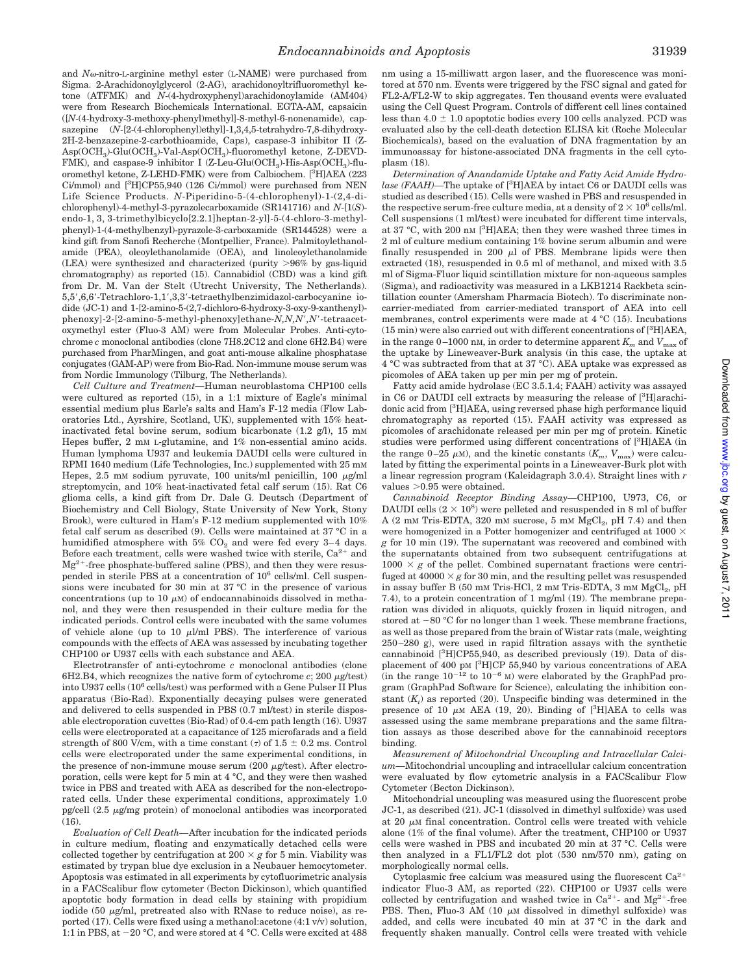and *N*<sub>0</sub>-nitro-L-arginine methyl ester (L-NAME) were purchased from Sigma. 2-Arachidonoylglycerol (2-AG), arachidonoyltrifluoromethyl ketone (ATFMK) and *N*-(4-hydroxyphenyl)arachidonoylamide (AM404) were from Research Biochemicals International. EGTA-AM, capsaicin ([*N*-(4-hydroxy-3-methoxy-phenyl)methyl]-8-methyl-6-nonenamide), capsazepine (*N*-[2-(4-chlorophenyl)ethyl]-1,3,4,5-tetrahydro-7,8-dihydroxy-2H-2-benzazepine-2-carbothioamide, Caps), caspase-3 inhibitor II (Z-Asp(OCH<sup>3</sup> )-Glu(OCH<sup>3</sup> )-Val-Asp(OCH<sup>3</sup> )-fluoromethyl ketone, Z-DEVD-FMK), and caspase-9 inhibitor I (Z-Leu-Glu(OCH<sub>3</sub>)-His-Asp(OCH<sub>3</sub>)-fluoromethyl ketone, Z-LEHD-FMK) were from Calbiochem. [3H]AEA (223 Ci/mmol) and [3H]CP55,940 (126 Ci/mmol) were purchased from NEN Life Science Products. *N*-Piperidino-5-(4-chlorophenyl)-1-(2,4-dichlorophenyl)-4-methyl-3-pyrazolecarboxamide (SR141716) and *N*-[1(*S*) endo-1, 3, 3-trimethylbicyclo[2.2.1]heptan-2-yl]-5-(4-chloro-3-methylphenyl)-1-(4-methylbenzyl)-pyrazole-3-carboxamide (SR144528) were a kind gift from Sanofi Recherche (Montpellier, France). Palmitoylethanolamide (PEA), oleoylethanolamide (OEA), and linoleoylethanolamide (LEA) were synthesized and characterized (purity  $>96\%$  by gas-liquid chromatography) as reported (15). Cannabidiol (CBD) was a kind gift from Dr. M. Van der Stelt (Utrecht University, The Netherlands). 5,5',6,6'-Tetrachloro-1,1',3,3'-tetraethylbenzimidazol-carbocyanine iodide (JC-1) and 1-[2-amino-5-(2,7-dichloro-6-hydroxy-3-oxy-9-xanthenyl) phenoxy]-2-[2-amino-5-methyl-phenoxy]ethane-*N,N,N',N'*-tetraacetoxymethyl ester (Fluo-3 AM) were from Molecular Probes. Anti-cytochrome *c* monoclonal antibodies (clone 7H8.2C12 and clone 6H2.B4) were purchased from PharMingen, and goat anti-mouse alkaline phosphatase conjugates (GAM-AP) were from Bio-Rad. Non-immune mouse serum was from Nordic Immunology (Tilburg, The Netherlands).

*Cell Culture and Treatment—*Human neuroblastoma CHP100 cells were cultured as reported (15), in a 1:1 mixture of Eagle's minimal essential medium plus Earle's salts and Ham's F-12 media (Flow Laboratories Ltd., Ayrshire, Scotland, UK), supplemented with 15% heatinactivated fetal bovine serum, sodium bicarbonate (1.2 g/l), 15 mM Hepes buffer, 2 mM L-glutamine, and 1% non-essential amino acids. Human lymphoma U937 and leukemia DAUDI cells were cultured in RPMI 1640 medium (Life Technologies, Inc.) supplemented with 25 mM Hepes, 2.5 mM sodium pyruvate, 100 units/ml penicillin, 100  $\mu$ g/ml streptomycin, and 10% heat-inactivated fetal calf serum (15). Rat C6 glioma cells, a kind gift from Dr. Dale G. Deutsch (Department of Biochemistry and Cell Biology, State University of New York, Stony Brook), were cultured in Ham's F-12 medium supplemented with 10% fetal calf serum as described (9). Cells were maintained at 37 °C in a humidified atmosphere with  $5\%$  CO<sub>2</sub> and were fed every 3-4 days. Before each treatment, cells were washed twice with sterile,  $Ca^{2+}$  and  $Mg^{2+}$ -free phosphate-buffered saline (PBS), and then they were resuspended in sterile PBS at a concentration of  $10^6$  cells/ml. Cell suspensions were incubated for 30 min at 37 °C in the presence of various concentrations (up to 10  $\mu$ M) of endocannabinoids dissolved in methanol, and they were then resuspended in their culture media for the indicated periods. Control cells were incubated with the same volumes of vehicle alone (up to 10  $\mu$ l/ml PBS). The interference of various compounds with the effects of AEA was assessed by incubating together CHP100 or U937 cells with each substance and AEA.

Electrotransfer of anti-cytochrome *c* monoclonal antibodies (clone  $6H2.B4$ , which recognizes the native form of cytochrome  $c$ ; 200  $\mu$ g/test) into U937 cells (10<sup>6</sup> cells/test) was performed with a Gene Pulser II Plus apparatus (Bio-Rad). Exponentially decaying pulses were generated and delivered to cells suspended in PBS (0.7 ml/test) in sterile disposable electroporation cuvettes (Bio-Rad) of 0.4-cm path length (16). U937 cells were electroporated at a capacitance of 125 microfarads and a field strength of 800 V/cm, with a time constant  $(\tau)$  of 1.5  $\pm$  0.2 ms. Control cells were electroporated under the same experimental conditions, in the presence of non-immune mouse serum  $(200 \mu g/\text{test})$ . After electroporation, cells were kept for 5 min at 4 °C, and they were then washed twice in PBS and treated with AEA as described for the non-electroporated cells. Under these experimental conditions, approximately 1.0 pg/cell  $(2.5 \mu g/mg$  protein) of monoclonal antibodies was incorporated (16).

*Evaluation of Cell Death—*After incubation for the indicated periods in culture medium, floating and enzymatically detached cells were collected together by centrifugation at  $200 \times g$  for 5 min. Viability was estimated by trypan blue dye exclusion in a Neubauer hemocytometer. Apoptosis was estimated in all experiments by cytofluorimetric analysis in a FACScalibur flow cytometer (Becton Dickinson), which quantified apoptotic body formation in dead cells by staining with propidium iodide (50  $\mu$ g/ml, pretreated also with RNase to reduce noise), as reported (17). Cells were fixed using a methanol:acetone (4:1 v/v) solution, 1:1 in PBS, at  $-20$  °C, and were stored at 4 °C. Cells were excited at 488 nm using a 15-milliwatt argon laser, and the fluorescence was monitored at 570 nm. Events were triggered by the FSC signal and gated for FL2-A/FL2-W to skip aggregates. Ten thousand events were evaluated using the Cell Quest Program. Controls of different cell lines contained less than  $4.0 \pm 1.0$  apoptotic bodies every 100 cells analyzed. PCD was evaluated also by the cell-death detection ELISA kit (Roche Molecular Biochemicals), based on the evaluation of DNA fragmentation by an immunoassay for histone-associated DNA fragments in the cell cytoplasm (18).

*Determination of Anandamide Uptake and Fatty Acid Amide Hydrolase (FAAH)*—The uptake of [<sup>3</sup>H]AEA by intact C6 or DAUDI cells was studied as described (15). Cells were washed in PBS and resuspended in the respective serum-free culture media, at a density of  $2 \times 10^6$  cells/ml. Cell suspensions (1 ml/test) were incubated for different time intervals, at 37 °C, with 200 nM [ <sup>3</sup>H]AEA; then they were washed three times in 2 ml of culture medium containing 1% bovine serum albumin and were finally resuspended in 200  $\mu$ l of PBS. Membrane lipids were then extracted (18), resuspended in 0.5 ml of methanol, and mixed with 3.5 ml of Sigma-Fluor liquid scintillation mixture for non-aqueous samples (Sigma), and radioactivity was measured in a LKB1214 Rackbeta scintillation counter (Amersham Pharmacia Biotech). To discriminate noncarrier-mediated from carrier-mediated transport of AEA into cell membranes, control experiments were made at 4 °C (15). Incubations (15 min) were also carried out with different concentrations of [3H]AEA, in the range 0–1000 nm, in order to determine apparent  $K<sub>m</sub>$  and  $V<sub>max</sub>$  of the uptake by Lineweaver-Burk analysis (in this case, the uptake at 4 °C was subtracted from that at 37 °C). AEA uptake was expressed as picomoles of AEA taken up per min per mg of protein.

Fatty acid amide hydrolase (EC 3.5.1.4; FAAH) activity was assayed in C6 or DAUDI cell extracts by measuring the release of  $[{}^{3}H]$ arachidonic acid from [3H]AEA, using reversed phase high performance liquid chromatography as reported (15). FAAH activity was expressed as picomoles of arachidonate released per min per mg of protein. Kinetic studies were performed using different concentrations of [3H]AEA (in the range 0–25  $\mu$ M), and the kinetic constants ( $K_m$ ,  $V_{\text{max}}$ ) were calculated by fitting the experimental points in a Lineweaver-Burk plot with a linear regression program (Kaleidagraph 3.0.4). Straight lines with *r* values  $>0.95$  were obtained.

*Cannabinoid Receptor Binding Assay—*CHP100, U973, C6, or DAUDI cells  $(2 \times 10^8)$  were pelleted and resuspended in 8 ml of buffer A  $(2 \text{ mm Tris-EDTA}, 320 \text{ mm sucrose}, 5 \text{ mm MgCl}_2, \text{ pH } 7.4)$  and then were homogenized in a Potter homogenizer and centrifuged at 1000  $\times$ *g* for 10 min (19). The supernatant was recovered and combined with the supernatants obtained from two subsequent centrifugations at  $1000 \times g$  of the pellet. Combined supernatant fractions were centrifuged at  $40000 \times g$  for 30 min, and the resulting pellet was resuspended in assay buffer B (50 mm Tris-HCl, 2 mm Tris-EDTA, 3 mm  $\mathrm{MgCl}_2$ , pH 7.4), to a protein concentration of 1 mg/ml (19). The membrane preparation was divided in aliquots, quickly frozen in liquid nitrogen, and stored at  $-80$  °C for no longer than 1 week. These membrane fractions, as well as those prepared from the brain of Wistar rats (male, weighting 250–280 g), were used in rapid filtration assays with the synthetic cannabinoid  $[3H]CP$ 55,940, as described previously (19). Data of displacement of 400 pM [<sup>3</sup>H]CP 55,940 by various concentrations of AEA (in the range  $10^{-12}$  to  $10^{-6}$  M) were elaborated by the GraphPad program (GraphPad Software for Science), calculating the inhibition constant  $(K_i)$  as reported (20). Unspecific binding was determined in the presence of 10  $\mu$ M AEA (19, 20). Binding of [<sup>3</sup>H]AEA to cells was assessed using the same membrane preparations and the same filtration assays as those described above for the cannabinoid receptors binding.

*Measurement of Mitochondrial Uncoupling and Intracellular Calcium—*Mitochondrial uncoupling and intracellular calcium concentration were evaluated by flow cytometric analysis in a FACScalibur Flow Cytometer (Becton Dickinson).

Mitochondrial uncoupling was measured using the fluorescent probe JC-1, as described (21). JC-1 (dissolved in dimethyl sulfoxide) was used at 20  $\mu$ M final concentration. Control cells were treated with vehicle alone (1% of the final volume). After the treatment, CHP100 or U937 cells were washed in PBS and incubated 20 min at 37 °C. Cells were then analyzed in a FL1/FL2 dot plot (530 nm/570 nm), gating on morphologically normal cells.

Cytoplasmic free calcium was measured using the fluorescent  $Ca^{2+}$ indicator Fluo-3 AM, as reported (22). CHP100 or U937 cells were collected by centrifugation and washed twice in  $Ca^{2+}$ - and  $Mg^{2+}$ -free PBS. Then, Fluo-3 AM (10  $\mu$ M dissolved in dimethyl sulfoxide) was added, and cells were incubated 40 min at 37 °C in the dark and frequently shaken manually. Control cells were treated with vehicle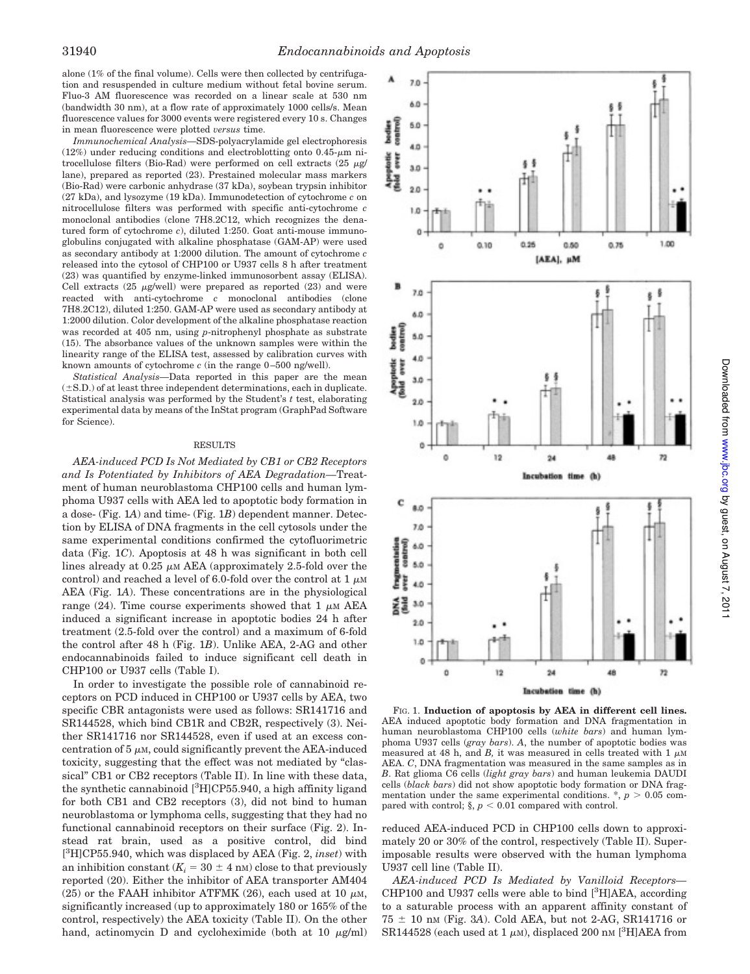alone (1% of the final volume). Cells were then collected by centrifugation and resuspended in culture medium without fetal bovine serum. Fluo-3 AM fluorescence was recorded on a linear scale at 530 nm (bandwidth 30 nm), at a flow rate of approximately 1000 cells/s. Mean fluorescence values for 3000 events were registered every 10 s. Changes in mean fluorescence were plotted *versus* time.

*Immunochemical Analysis—*SDS-polyacrylamide gel electrophoresis (12%) under reducing conditions and electroblotting onto  $0.45-\mu m$  nitrocellulose filters (Bio-Rad) were performed on cell extracts  $(25 \text{ m/s})$ lane), prepared as reported (23). Prestained molecular mass markers (Bio-Rad) were carbonic anhydrase (37 kDa), soybean trypsin inhibitor (27 kDa), and lysozyme (19 kDa). Immunodetection of cytochrome *c* on nitrocellulose filters was performed with specific anti-cytochrome *c* monoclonal antibodies (clone 7H8.2C12, which recognizes the denatured form of cytochrome *c*), diluted 1:250. Goat anti-mouse immunoglobulins conjugated with alkaline phosphatase (GAM-AP) were used as secondary antibody at 1:2000 dilution. The amount of cytochrome *c* released into the cytosol of CHP100 or U937 cells 8 h after treatment (23) was quantified by enzyme-linked immunosorbent assay (ELISA). Cell extracts  $(25 \text{ µg/well})$  were prepared as reported  $(23)$  and were reacted with anti-cytochrome *c* monoclonal antibodies (clone 7H8.2C12), diluted 1:250. GAM-AP were used as secondary antibody at 1:2000 dilution. Color development of the alkaline phosphatase reaction was recorded at 405 nm, using *p*-nitrophenyl phosphate as substrate (15). The absorbance values of the unknown samples were within the linearity range of the ELISA test, assessed by calibration curves with known amounts of cytochrome *c* (in the range 0–500 ng/well).

*Statistical Analysis—*Data reported in this paper are the mean  $(\pm S.D.)$  of at least three independent determinations, each in duplicate. Statistical analysis was performed by the Student's *t* test, elaborating experimental data by means of the InStat program (GraphPad Software for Science).

#### RESULTS

*AEA-induced PCD Is Not Mediated by CB1 or CB2 Receptors and Is Potentiated by Inhibitors of AEA Degradation—*Treatment of human neuroblastoma CHP100 cells and human lymphoma U937 cells with AEA led to apoptotic body formation in a dose- (Fig. 1*A*) and time- (Fig. 1*B*) dependent manner. Detection by ELISA of DNA fragments in the cell cytosols under the same experimental conditions confirmed the cytofluorimetric data (Fig. 1*C*). Apoptosis at 48 h was significant in both cell lines already at  $0.25 \mu M$  AEA (approximately 2.5-fold over the control) and reached a level of 6.0-fold over the control at  $1 \mu M$ AEA (Fig. 1*A*). These concentrations are in the physiological range (24). Time course experiments showed that  $1 \mu M AEA$ induced a significant increase in apoptotic bodies 24 h after treatment (2.5-fold over the control) and a maximum of 6-fold the control after 48 h (Fig. 1*B*). Unlike AEA, 2-AG and other endocannabinoids failed to induce significant cell death in CHP100 or U937 cells (Table I).

In order to investigate the possible role of cannabinoid receptors on PCD induced in CHP100 or U937 cells by AEA, two specific CBR antagonists were used as follows: SR141716 and SR144528, which bind CB1R and CB2R, respectively (3). Neither SR141716 nor SR144528, even if used at an excess concentration of  $5 \mu$ M, could significantly prevent the AEA-induced toxicity, suggesting that the effect was not mediated by "classical" CB1 or CB2 receptors (Table II). In line with these data, the synthetic cannabinoid  $[{}^{3}H]CP$ 55.940, a high affinity ligand for both CB1 and CB2 receptors (3), did not bind to human neuroblastoma or lymphoma cells, suggesting that they had no functional cannabinoid receptors on their surface (Fig. 2). Instead rat brain, used as a positive control, did bind [ <sup>3</sup>H]CP55.940, which was displaced by AEA (Fig. 2, *inset*) with an inhibition constant  $(K_i = 30 \pm 4 \text{ nm})$  close to that previously reported (20). Either the inhibitor of AEA transporter AM404 (25) or the FAAH inhibitor ATFMK (26), each used at 10  $\mu$ M, significantly increased (up to approximately 180 or 165% of the control, respectively) the AEA toxicity (Table II). On the other hand, actinomycin D and cycloheximide (both at 10  $\mu$ g/ml)



FIG. 1. **Induction of apoptosis by AEA in different cell lines.** AEA induced apoptotic body formation and DNA fragmentation in human neuroblastoma CHP100 cells (*white bars*) and human lymphoma U937 cells (*gray bars*). *A*, the number of apoptotic bodies was measured at 48 h, and *B*, it was measured in cells treated with  $1 \mu M$ AEA. *C*, DNA fragmentation was measured in the same samples as in *B*. Rat glioma C6 cells (*light gray bars*) and human leukemia DAUDI cells (*black bars*) did not show apoptotic body formation or DNA fragmentation under the same experimental conditions.  $*, p > 0.05$  compared with control;  $\S$ ,  $p < 0.01$  compared with control.

reduced AEA-induced PCD in CHP100 cells down to approximately 20 or 30% of the control, respectively (Table II). Superimposable results were observed with the human lymphoma U937 cell line (Table II).

*AEA-induced PCD Is Mediated by Vanilloid Receptors—* CHP100 and U937 cells were able to bind  $[{}^{3}H]AEA$ , according to a saturable process with an apparent affinity constant of  $75 \pm 10$  nm (Fig. 3A). Cold AEA, but not 2-AG, SR141716 or SR144528 (each used at 1  $\mu$ m), displaced 200 nm [<sup>3</sup>H]AEA from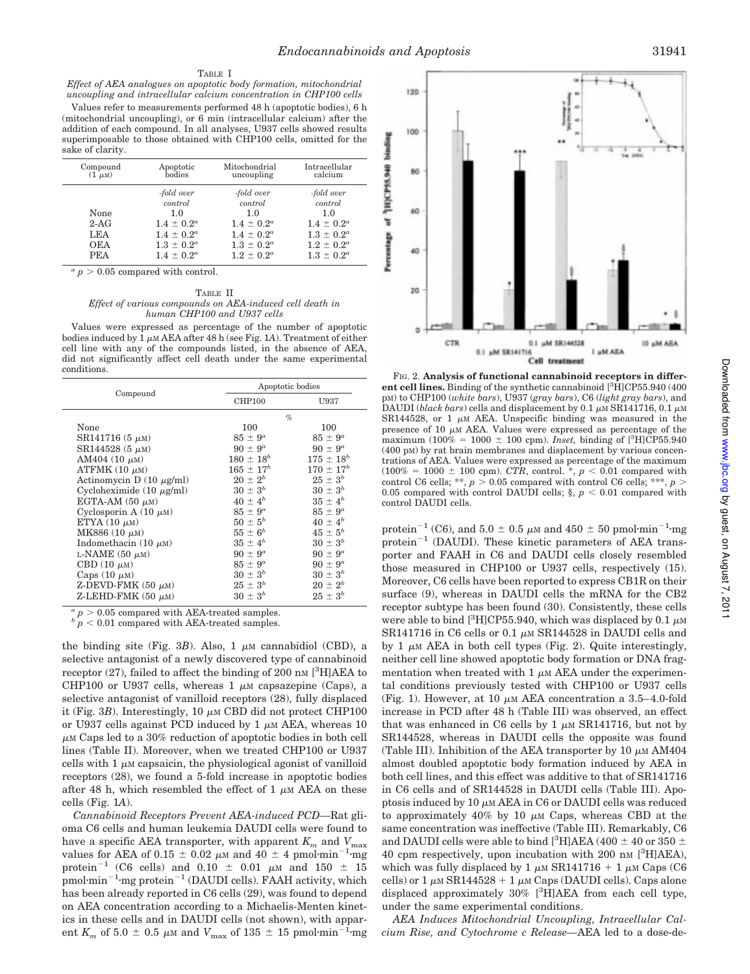## TABLE I

*Effect of AEA analogues on apoptotic body formation, mitochondrial uncoupling and intracellular calcium concentration in CHP100 cells*

Values refer to measurements performed 48 h (apoptotic bodies), 6 h (mitochondrial uncoupling), or 6 min (intracellular calcium) after the addition of each compound. In all analyses, U937 cells showed results superimposable to those obtained with CHP100 cells, omitted for the sake of clarity.

| Compound              | Apoptotic                                                          | Mitochondrial                                                      | Intracellular                                                      |
|-----------------------|--------------------------------------------------------------------|--------------------------------------------------------------------|--------------------------------------------------------------------|
| $(1 \mu M)$           | bodies                                                             | uncoupling                                                         | calcium                                                            |
| None<br>$2-AG$<br>LEA | -fold over<br>control<br>1.0<br>$1.4 \pm 0.2^a$<br>$1.4 \pm 0.2^a$ | -fold over<br>control<br>1.0<br>$1.4 \pm 0.2^a$<br>$1.4 \pm 0.2^a$ | -fold over<br>control<br>1.0<br>$1.4 \pm 0.2^a$<br>$1.3 \pm 0.2^a$ |
| <b>OEA</b>            | $1.3 \pm 0.2^a$                                                    | $1.3 \pm 0.2^a$                                                    | $1.2 \pm 0.2^a$                                                    |
| <b>PEA</b>            | $1.4 \pm 0.2^a$                                                    | $1.2 \pm 0.2^a$                                                    | $1.3 \pm 0.2^a$                                                    |

 $a_p > 0.05$  compared with control.

TABLE II *Effect of various compounds on AEA-induced cell death in human CHP100 and U937 cells*

Values were expressed as percentage of the number of apoptotic bodies induced by  $1 \mu M AEA$  after 48 h (see Fig. 1A). Treatment of either cell line with any of the compounds listed, in the absence of AEA, did not significantly affect cell death under the same experimental conditions.

|                               |                  | Apoptotic bodies |  |
|-------------------------------|------------------|------------------|--|
| Compound                      | <b>CHP100</b>    | U937             |  |
|                               |                  | $\%$             |  |
| None                          | 100              | 100              |  |
| $SR141716(5 \mu M)$           | $85 \pm 9^a$     | $85 \pm 9^a$     |  |
| $SR144528(5 \mu M)$           | $90 \pm 9^a$     | $90 \pm 9^a$     |  |
| AM404 $(10 \mu M)$            | $180 \pm 18^b$   | $175 \pm 18^b$   |  |
| ATFMK $(10 \mu M)$            | $165 \pm 17^{b}$ | $170 \pm 17^{b}$ |  |
| Actinomycin D $(10 \mu g/ml)$ | $20 \pm 2^{b}$   | $25 \pm 3^b$     |  |
| Cycloheximide $(10 \mu g/ml)$ | $30 \pm 3^b$     | $30 \pm 3^b$     |  |
| EGTA-AM $(50 \mu M)$          | $40 \pm 4^{b}$   | $35 \pm 4^b$     |  |
| Cyclosporin A $(10 \mu M)$    | $85 \pm 9^a$     | $85 \pm 9^a$     |  |
| ETYA $(10 \mu M)$             | $50 \pm 5^{b}$   | $40 \pm 4^{b}$   |  |
| MK886 $(10 \mu M)$            | $55 \pm 6^b$     | $45 \pm 5^{b}$   |  |
| Indomethacin (10 $\mu$ M)     | $35 \pm 4^b$     | $30 \pm 3^b$     |  |
| L-NAME $(50 \mu M)$           | $90 \pm 9^a$     | $90 \pm 9^a$     |  |
| CBD $(10 \mu M)$              | $85 \pm 9^a$     | $90 \pm 9^a$     |  |
| Caps $(10 \mu M)$             | $30 \pm 3^b$     | $30 \pm 3^b$     |  |
| Z-DEVD-FMK $(50 \mu M)$       | $25 \pm 3^{b}$   | $20 \pm 2^{b}$   |  |
| Z-LEHD-FMK $(50 \mu M)$       | $30 \pm 3^b$     | $25 \pm 3^{b}$   |  |

 $a_p > 0.05$  compared with AEA-treated samples.

 $p < 0.01$  compared with AEA-treated samples.

the binding site (Fig. 3*B*). Also,  $1 \mu M$  cannabidiol (CBD), a selective antagonist of a newly discovered type of cannabinoid receptor (27), failed to affect the binding of 200 nm  $[<sup>3</sup>H]AEA$  to CHP100 or U937 cells, whereas 1  $\mu$ M capsazepine (Caps), a selective antagonist of vanilloid receptors (28), fully displaced it (Fig.  $3B$ ). Interestingly, 10  $\mu$ M CBD did not protect CHP100 or U937 cells against PCD induced by 1  $\mu$ M AEA, whereas 10  $\mu$ M Caps led to a 30% reduction of apoptotic bodies in both cell lines (Table II). Moreover, when we treated CHP100 or U937 cells with  $1 \mu$ M capsaicin, the physiological agonist of vanilloid receptors (28), we found a 5-fold increase in apoptotic bodies after 48 h, which resembled the effect of 1  $\mu$ M AEA on these cells (Fig. 1*A*).

*Cannabinoid Receptors Prevent AEA-induced PCD—*Rat glioma C6 cells and human leukemia DAUDI cells were found to have a specific AEA transporter, with apparent  $K_m$  and  $V_{\text{max}}$ values for AEA of  $0.15 \pm 0.02$   $\mu$ M and  $40 \pm 4$  pmol·min<sup>-1</sup>·mg protein<sup>-1</sup> (C6 cells) and  $0.10 \pm 0.01$   $\mu$ M and  $150 \pm 15$  $p$ mol·min<sup>-1</sup>·mg protein<sup>-1</sup> (DAUDI cells). FAAH activity, which has been already reported in C6 cells (29), was found to depend on AEA concentration according to a Michaelis-Menten kinetics in these cells and in DAUDI cells (not shown), with apparent  $K_m$  of 5.0  $\pm$  0.5  $\mu$ M and  $V_{\text{max}}$  of 135  $\pm$  15 pmol·min<sup>-1</sup>·mg



FIG. 2. **Analysis of functional cannabinoid receptors in different cell lines.** Binding of the synthetic cannabinoid [3H]CP55.940 (400 pM) to CHP100 (*white bars*), U937 (*gray bars*), C6 (*light gray bars*), and DAUDI (*black bars*) cells and displacement by 0.1  $\mu$ M SR141716, 0.1  $\mu$ M SR144528, or 1  $\mu$ M AEA. Unspecific binding was measured in the presence of 10  $\mu$ M AEA. Values were expressed as percentage of the maximum (100% = 1000  $\pm$  100 cpm). *Inset*, binding of [<sup>3</sup>H]CP55.940 (400 pM) by rat brain membranes and displacement by various concentrations of AEA. Values were expressed as percentage of the maximum  $(100\% = 1000 \pm 100$  cpm). *CTR*, control. \*,  $p < 0.01$  compared with control C6 cells; \*\*,  $p > 0.05$  compared with control C6 cells; \*\*\*,  $p >$ 0.05 compared with control DAUDI cells;  $\S$ ,  $p < 0.01$  compared with control DAUDI cells.

protein<sup>-1</sup> (C6), and 5.0  $\pm$  0.5  $\mu$ M and 450  $\pm$  50 pmol·min<sup>-1</sup>·mg protein<sup>-1</sup> (DAUDI). These kinetic parameters of AEA transporter and FAAH in C6 and DAUDI cells closely resembled those measured in CHP100 or U937 cells, respectively (15). Moreover, C6 cells have been reported to express CB1R on their surface (9), whereas in DAUDI cells the mRNA for the CB2 receptor subtype has been found (30). Consistently, these cells were able to bind  $[{}^{3}H]CP$ 55.940, which was displaced by 0.1  $\mu$ M SR141716 in C6 cells or 0.1  $\mu$ M SR144528 in DAUDI cells and by 1  $\mu$ M AEA in both cell types (Fig. 2). Quite interestingly, neither cell line showed apoptotic body formation or DNA fragmentation when treated with  $1 \mu M$  AEA under the experimental conditions previously tested with CHP100 or U937 cells (Fig. 1). However, at 10  $\mu$ M AEA concentration a 3.5–4.0-fold increase in PCD after 48 h (Table III) was observed, an effect that was enhanced in C6 cells by 1  $\mu$ M SR141716, but not by SR144528, whereas in DAUDI cells the opposite was found (Table III). Inhibition of the AEA transporter by 10  $\mu$ M AM404 almost doubled apoptotic body formation induced by AEA in both cell lines, and this effect was additive to that of SR141716 in C6 cells and of SR144528 in DAUDI cells (Table III). Apoptosis induced by  $10 \mu M$  AEA in C6 or DAUDI cells was reduced to approximately 40% by 10  $\mu$ M Caps, whereas CBD at the same concentration was ineffective (Table III). Remarkably, C6 and DAUDI cells were able to bind [<sup>3</sup>H]AEA (400  $\pm$  40 or 350  $\pm$ 40 cpm respectively, upon incubation with 200 nm [<sup>3</sup>H]AEA), which was fully displaced by 1  $\mu$ M SR141716 + 1  $\mu$ M Caps (C6 cells) or  $1 \mu M$  SR144528 +  $1 \mu M$  Caps (DAUDI cells). Caps alone displaced approximately  $30\%$  [<sup>3</sup>H]AEA from each cell type, under the same experimental conditions.

*AEA Induces Mitochondrial Uncoupling, Intracellular Calcium Rise, and Cytochrome c Release—*AEA led to a dose-de-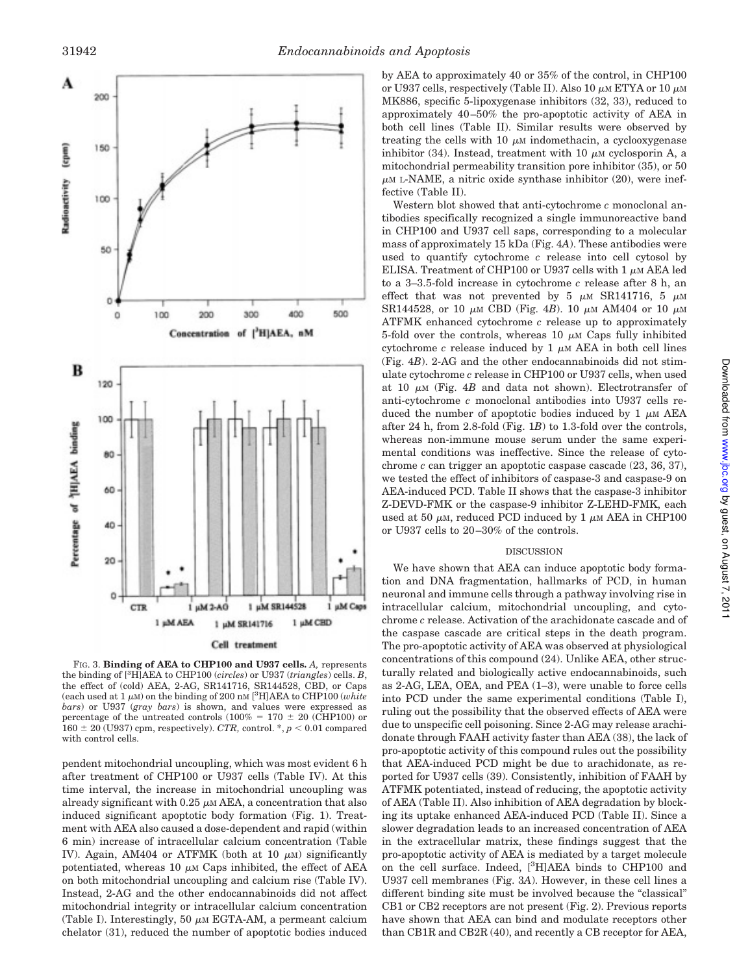

FIG. 3. **Binding of AEA to CHP100 and U937 cells.** *A,* represents the binding of [3H]AEA to CHP100 (*circles*) or U937 (*triangles*) cells. *B*, the effect of (cold) AEA, 2-AG, SR141716, SR144528, CBD, or Caps (each used at  $1 \mu$ M) on the binding of 200 nM <sup>[3</sup>H]AEA to CHP100 (*white bars*) or U937 (*gray bars*) is shown, and values were expressed as percentage of the untreated controls (100% = 170  $\pm$  20 (CHP100) or  $160 \pm 20$  (U937) cpm, respectively). *CTR*, control. \*,  $p < 0.01$  compared with control cells.

pendent mitochondrial uncoupling, which was most evident 6 h after treatment of CHP100 or U937 cells (Table IV). At this time interval, the increase in mitochondrial uncoupling was already significant with  $0.25 \mu M$  AEA, a concentration that also induced significant apoptotic body formation (Fig. 1). Treatment with AEA also caused a dose-dependent and rapid (within 6 min) increase of intracellular calcium concentration (Table IV). Again, AM404 or ATFMK (both at 10  $\mu$ M) significantly potentiated, whereas 10  $\mu$ M Caps inhibited, the effect of AEA on both mitochondrial uncoupling and calcium rise (Table IV). Instead, 2-AG and the other endocannabinoids did not affect mitochondrial integrity or intracellular calcium concentration (Table I). Interestingly, 50  $\mu$ M EGTA-AM, a permeant calcium chelator (31), reduced the number of apoptotic bodies induced

by AEA to approximately 40 or 35% of the control, in CHP100 or U937 cells, respectively (Table II). Also 10  $\mu$ M ETYA or 10  $\mu$ M MK886, specific 5-lipoxygenase inhibitors (32, 33), reduced to approximately 40–50% the pro-apoptotic activity of AEA in both cell lines (Table II). Similar results were observed by treating the cells with 10  $\mu$ M indomethacin, a cyclooxygenase inhibitor (34). Instead, treatment with 10  $\mu$ M cyclosporin A, a mitochondrial permeability transition pore inhibitor (35), or 50  $\mu$ M L-NAME, a nitric oxide synthase inhibitor (20), were ineffective (Table II).

Western blot showed that anti-cytochrome *c* monoclonal antibodies specifically recognized a single immunoreactive band in CHP100 and U937 cell saps, corresponding to a molecular mass of approximately 15 kDa (Fig. 4*A*). These antibodies were used to quantify cytochrome *c* release into cell cytosol by ELISA. Treatment of CHP100 or U937 cells with 1  $\mu$ M AEA led to a 3–3.5-fold increase in cytochrome *c* release after 8 h, an effect that was not prevented by 5  $\mu$ M SR141716, 5  $\mu$ M SR144528, or 10  $\mu$ m CBD (Fig. 4*B*). 10  $\mu$ m AM404 or 10  $\mu$ m ATFMK enhanced cytochrome *c* release up to approximately 5-fold over the controls, whereas 10  $\mu$ M Caps fully inhibited cytochrome  $c$  release induced by 1  $\mu$ M AEA in both cell lines (Fig. 4*B*). 2-AG and the other endocannabinoids did not stimulate cytochrome *c* release in CHP100 or U937 cells, when used at 10  $\mu$ M (Fig. 4*B* and data not shown). Electrotransfer of anti-cytochrome *c* monoclonal antibodies into U937 cells reduced the number of apoptotic bodies induced by 1  $\mu$ M AEA after 24 h, from 2.8-fold (Fig. 1*B*) to 1.3-fold over the controls, whereas non-immune mouse serum under the same experimental conditions was ineffective. Since the release of cytochrome *c* can trigger an apoptotic caspase cascade (23, 36, 37), we tested the effect of inhibitors of caspase-3 and caspase-9 on AEA-induced PCD. Table II shows that the caspase-3 inhibitor Z-DEVD-FMK or the caspase-9 inhibitor Z-LEHD-FMK, each used at 50  $\mu$ M, reduced PCD induced by 1  $\mu$ M AEA in CHP100 or U937 cells to 20–30% of the controls.

# DISCUSSION

We have shown that AEA can induce apoptotic body formation and DNA fragmentation, hallmarks of PCD, in human neuronal and immune cells through a pathway involving rise in intracellular calcium, mitochondrial uncoupling, and cytochrome *c* release. Activation of the arachidonate cascade and of the caspase cascade are critical steps in the death program. The pro-apoptotic activity of AEA was observed at physiological concentrations of this compound (24). Unlike AEA, other structurally related and biologically active endocannabinoids, such as 2-AG, LEA, OEA, and PEA (1–3), were unable to force cells into PCD under the same experimental conditions (Table I), ruling out the possibility that the observed effects of AEA were due to unspecific cell poisoning. Since 2-AG may release arachidonate through FAAH activity faster than AEA (38), the lack of pro-apoptotic activity of this compound rules out the possibility that AEA-induced PCD might be due to arachidonate, as reported for U937 cells (39). Consistently, inhibition of FAAH by ATFMK potentiated, instead of reducing, the apoptotic activity of AEA (Table II). Also inhibition of AEA degradation by blocking its uptake enhanced AEA-induced PCD (Table II). Since a slower degradation leads to an increased concentration of AEA in the extracellular matrix, these findings suggest that the pro-apoptotic activity of AEA is mediated by a target molecule on the cell surface. Indeed, [3H]AEA binds to CHP100 and U937 cell membranes (Fig. 3*A*). However, in these cell lines a different binding site must be involved because the "classical" CB1 or CB2 receptors are not present (Fig. 2). Previous reports have shown that AEA can bind and modulate receptors other than CB1R and CB2R (40), and recently a CB receptor for AEA,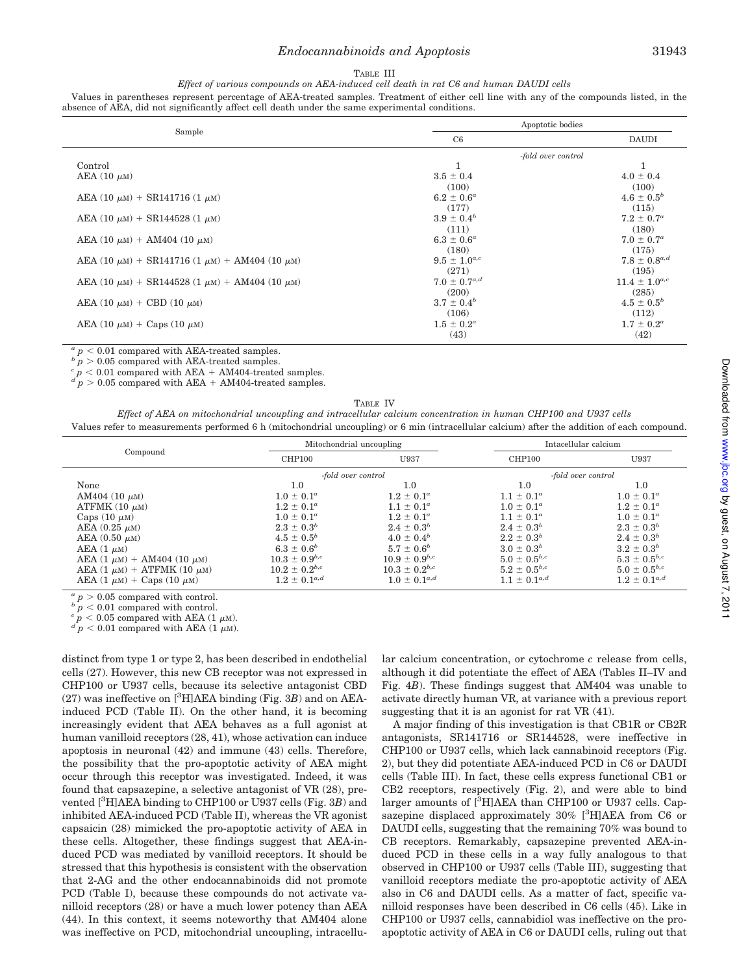## *Endocannabinoids and Apoptosis* 31943

### TABLE III

*Effect of various compounds on AEA-induced cell death in rat C6 and human DAUDI cells*

Values in parentheses represent percentage of AEA-treated samples. Treatment of either cell line with any of the compounds listed, in the absence of AEA, did not significantly affect cell death under the same experimental conditions.

|                                                              | Apoptotic bodies    |                       |  |
|--------------------------------------------------------------|---------------------|-----------------------|--|
| Sample                                                       | C6                  | <b>DAUDI</b>          |  |
|                                                              | -fold over control  |                       |  |
| Control                                                      | 1                   | 1                     |  |
| AEA $(10 \mu M)$                                             | $3.5 \pm 0.4$       | $4.0 \pm 0.4$         |  |
|                                                              | (100)               | (100)                 |  |
| AEA (10 $\mu$ m) + SR141716 (1 $\mu$ m)                      | $6.2 \pm 0.6^a$     | $4.6 \pm 0.5^{b}$     |  |
|                                                              | (177)               | (115)                 |  |
| AEA (10 $\mu$ m) + SR144528 (1 $\mu$ m)                      | $3.9 \pm 0.4^b$     | $7.2 \pm 0.7^a$       |  |
|                                                              | (111)               | (180)                 |  |
| AEA (10 $\mu$ m) + AM404 (10 $\mu$ m)                        | $6.3 \pm 0.6^a$     | $7.0 \pm 0.7^{\circ}$ |  |
|                                                              | (180)               | (175)                 |  |
| AEA (10 $\mu$ m) + SR141716 (1 $\mu$ m) + AM404 (10 $\mu$ m) | $9.5 \pm 1.0^{a,c}$ | $7.8 \pm 0.8^{a,d}$   |  |
|                                                              | (271)               | (195)                 |  |
| AEA (10 $\mu$ m) + SR144528 (1 $\mu$ m) + AM404 (10 $\mu$ m) | $7.0 \pm 0.7^{a,d}$ | $11.4 \pm 1.0^{a,c}$  |  |
|                                                              | (200)               | (285)                 |  |
| AEA (10 $\mu$ m) + CBD (10 $\mu$ m)                          | $3.7 \pm 0.4^b$     | $4.5 \pm 0.5^{b}$     |  |
|                                                              | (106)               | (112)                 |  |
| AEA (10 $\mu$ m) + Caps (10 $\mu$ m)                         | $1.5 \pm 0.2^a$     | $1.7 \pm 0.2^a$       |  |
|                                                              | (43)                | (42)                  |  |

 $a_p < 0.01$  compared with AEA-treated samples.

 $b \, p > 0.05$  compared with AEA-treated samples.

 $c_p$  , 0.01 compared with AEA + AM404-treated samples.<br>  $d_p > 0.05$  compared with AEA + AM404-treated samples.

|--|--|

*Effect of AEA on mitochondrial uncoupling and intracellular calcium concentration in human CHP100 and U937 cells* Values refer to measurements performed 6 h (mitochondrial uncoupling) or 6 min (intracellular calcium) after the addition of each compound.

| Compound                             | Mitochondrial uncoupling |                      | Intacellular calcium |                     |
|--------------------------------------|--------------------------|----------------------|----------------------|---------------------|
|                                      | CHP100                   | U937                 | CHP100               | U937                |
|                                      | -fold over control       |                      | -fold over control   |                     |
| None                                 | 1.0                      | 1.0                  | 1.0                  | 1.0                 |
| AM404 $(10 \mu M)$                   | $1.0 \pm 0.1^a$          | $1.2 \pm 0.1^a$      | $1.1 \pm 0.1^a$      | $1.0 \pm 0.1^a$     |
| ATFMK $(10 \mu M)$                   | $1.2 \pm 0.1^a$          | $1.1 \pm 0.1^a$      | $1.0 \pm 0.1^a$      | $1.2 \pm 0.1^a$     |
| Caps $(10 \mu M)$                    | $1.0 \pm 0.1^a$          | $1.2 \pm 0.1^a$      | $1.1 \pm 0.1^a$      | $1.0 \pm 0.1^a$     |
| AEA $(0.25 \mu M)$                   | $2.3 \pm 0.3^b$          | $2.4 \pm 0.3^b$      | $2.4 \pm 0.3^b$      | $2.3 \pm 0.3^b$     |
| AEA $(0.50 \mu M)$                   | $4.5 \pm 0.5^b$          | $4.0 \pm 0.4^b$      | $2.2 \pm 0.3^b$      | $2.4 \pm 0.3^b$     |
| $AEA$ (1 $\mu$ M)                    | $6.3 \pm 0.6^b$          | $5.7 \pm 0.6^b$      | $3.0 \pm 0.3^b$      | $3.2 \pm 0.3^b$     |
| AEA $(1 \mu M)$ + AM404 $(10 \mu M)$ | $10.3 \pm 0.9^{b,c}$     | $10.9 \pm 0.9^{b,c}$ | $5.0 \pm 0.5^{b,c}$  | $5.3 \pm 0.5^{b,c}$ |
| AEA $(1 \mu M)$ + ATFMK $(10 \mu M)$ | $10.2 \pm 0.2^{b,c}$     | $10.3 \pm 0.2^{b,c}$ | $5.2 \pm 0.5^{b,c}$  | $5.0 \pm 0.5^{b,c}$ |
| AEA $(1 \mu M)$ + Caps $(10 \mu M)$  | $1.2 \pm 0.1^{a,d}$      | $1.0 \pm 0.1^{a,d}$  | $1.1 \pm 0.1^{a,d}$  | $1.2 \pm 0.1^{a,d}$ |

*a*  $p > 0.05$  compared with control.

*b*  $p < 0.01$  compared with control.

 $c \frac{p}{p} < 0.05$  compared with AEA (1  $\mu$ M).<br>  $d \frac{p}{p} < 0.01$  compared with AEA (1  $\mu$ M).

distinct from type 1 or type 2, has been described in endothelial cells (27). However, this new CB receptor was not expressed in CHP100 or U937 cells, because its selective antagonist CBD  $(27)$  was ineffective on [<sup>3</sup>H]AEA binding (Fig. 3*B*) and on AEAinduced PCD (Table II). On the other hand, it is becoming increasingly evident that AEA behaves as a full agonist at human vanilloid receptors (28, 41), whose activation can induce apoptosis in neuronal (42) and immune (43) cells. Therefore, the possibility that the pro-apoptotic activity of AEA might occur through this receptor was investigated. Indeed, it was found that capsazepine, a selective antagonist of VR (28), prevented [3H]AEA binding to CHP100 or U937 cells (Fig. 3*B*) and inhibited AEA-induced PCD (Table II), whereas the VR agonist capsaicin (28) mimicked the pro-apoptotic activity of AEA in these cells. Altogether, these findings suggest that AEA-induced PCD was mediated by vanilloid receptors. It should be stressed that this hypothesis is consistent with the observation that 2-AG and the other endocannabinoids did not promote PCD (Table I), because these compounds do not activate vanilloid receptors (28) or have a much lower potency than AEA (44). In this context, it seems noteworthy that AM404 alone was ineffective on PCD, mitochondrial uncoupling, intracellular calcium concentration, or cytochrome *c* release from cells, although it did potentiate the effect of AEA (Tables II–IV and Fig. 4*B*). These findings suggest that AM404 was unable to activate directly human VR, at variance with a previous report suggesting that it is an agonist for rat VR (41).

A major finding of this investigation is that CB1R or CB2R antagonists, SR141716 or SR144528, were ineffective in CHP100 or U937 cells, which lack cannabinoid receptors (Fig. 2), but they did potentiate AEA-induced PCD in C6 or DAUDI cells (Table III). In fact, these cells express functional CB1 or CB2 receptors, respectively (Fig. 2), and were able to bind larger amounts of  $[{}^3H]$ AEA than CHP100 or U937 cells. Capsazepine displaced approximately  $30\%$  [<sup>3</sup>H]AEA from C6 or DAUDI cells, suggesting that the remaining 70% was bound to CB receptors. Remarkably, capsazepine prevented AEA-induced PCD in these cells in a way fully analogous to that observed in CHP100 or U937 cells (Table III), suggesting that vanilloid receptors mediate the pro-apoptotic activity of AEA also in C6 and DAUDI cells. As a matter of fact, specific vanilloid responses have been described in C6 cells (45). Like in CHP100 or U937 cells, cannabidiol was ineffective on the proapoptotic activity of AEA in C6 or DAUDI cells, ruling out that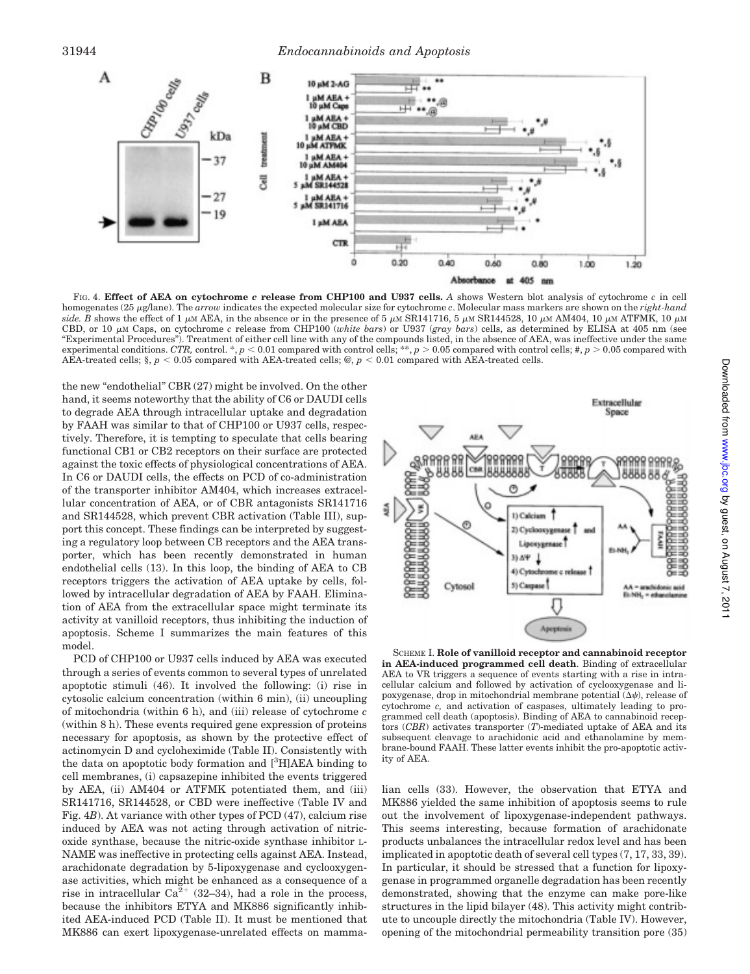

FIG. 4. **Effect of AEA on cytochrome** *c* **release from CHP100 and U937 cells.** *A* shows Western blot analysis of cytochrome *c* in cell homogenates (25 <sup>m</sup>g/lane). The *arrow* indicates the expected molecular size for cytochrome *c*. Molecular mass markers are shown on the *right-hand* side. B shows the effect of 1  $\mu$ M AEA, in the absence or in the presence of 5  $\mu$ M SR141716, 5  $\mu$ M SR144528, 10  $\mu$ M AM404, 10  $\mu$ M ATFMK, 10  $\mu$ M CBD, or 10  $\mu$ M Caps, on cytochrome *c* release from CHP100 (*white bars*) or U937 (*gray bars*) cells, as determined by ELISA at 405 nm (see "Experimental Procedures"). Treatment of either cell line with any of the compounds listed, in the absence of AEA, was ineffective under the same experimental conditions. *CTR*, control. \*,  $p < 0.01$  compared with control cells; \*\*,  $p > 0.05$  compared with control cells; #,  $p > 0.05$  compared with AEA-treated cells;  $\S, p < 0.05$  compared with AEA-treated cells;  $\mathcal{Q}, p < 0.01$  compared with AEA-treated cells.

the new "endothelial" CBR (27) might be involved. On the other hand, it seems noteworthy that the ability of C6 or DAUDI cells to degrade AEA through intracellular uptake and degradation by FAAH was similar to that of CHP100 or U937 cells, respectively. Therefore, it is tempting to speculate that cells bearing functional CB1 or CB2 receptors on their surface are protected against the toxic effects of physiological concentrations of AEA. In C6 or DAUDI cells, the effects on PCD of co-administration of the transporter inhibitor AM404, which increases extracellular concentration of AEA, or of CBR antagonists SR141716 and SR144528, which prevent CBR activation (Table III), support this concept. These findings can be interpreted by suggesting a regulatory loop between CB receptors and the AEA transporter, which has been recently demonstrated in human endothelial cells (13). In this loop, the binding of AEA to CB receptors triggers the activation of AEA uptake by cells, followed by intracellular degradation of AEA by FAAH. Elimination of AEA from the extracellular space might terminate its activity at vanilloid receptors, thus inhibiting the induction of apoptosis. Scheme I summarizes the main features of this model.

PCD of CHP100 or U937 cells induced by AEA was executed through a series of events common to several types of unrelated apoptotic stimuli (46). It involved the following: (i) rise in cytosolic calcium concentration (within 6 min), (ii) uncoupling of mitochondria (within 6 h), and (iii) release of cytochrome *c* (within 8 h). These events required gene expression of proteins necessary for apoptosis, as shown by the protective effect of actinomycin D and cycloheximide (Table II). Consistently with the data on apoptotic body formation and  $[3H] AEA$  binding to cell membranes, (i) capsazepine inhibited the events triggered by AEA, (ii) AM404 or ATFMK potentiated them, and (iii) SR141716, SR144528, or CBD were ineffective (Table IV and Fig. 4*B*). At variance with other types of PCD (47), calcium rise induced by AEA was not acting through activation of nitricoxide synthase, because the nitric-oxide synthase inhibitor L-NAME was ineffective in protecting cells against AEA. Instead, arachidonate degradation by 5-lipoxygenase and cyclooxygenase activities, which might be enhanced as a consequence of a rise in intracellular  $Ca^{2+}$  (32–34), had a role in the process, because the inhibitors ETYA and MK886 significantly inhibited AEA-induced PCD (Table II). It must be mentioned that MK886 can exert lipoxygenase-unrelated effects on mamma-



SCHEME I. **Role of vanilloid receptor and cannabinoid receptor in AEA-induced programmed cell death**. Binding of extracellular AEA to VR triggers a sequence of events starting with a rise in intracellular calcium and followed by activation of cyclooxygenase and lipoxygenase, drop in mitochondrial membrane potential  $(\Delta \psi)$ , release of cytochrome *c,* and activation of caspases, ultimately leading to programmed cell death (apoptosis). Binding of AEA to cannabinoid receptors (*CBR*) activates transporter (*T*)-mediated uptake of AEA and its subsequent cleavage to arachidonic acid and ethanolamine by membrane-bound FAAH. These latter events inhibit the pro-apoptotic activity of AEA.

lian cells (33). However, the observation that ETYA and MK886 yielded the same inhibition of apoptosis seems to rule out the involvement of lipoxygenase-independent pathways. This seems interesting, because formation of arachidonate products unbalances the intracellular redox level and has been implicated in apoptotic death of several cell types (7, 17, 33, 39). In particular, it should be stressed that a function for lipoxygenase in programmed organelle degradation has been recently demonstrated, showing that the enzyme can make pore-like structures in the lipid bilayer (48). This activity might contribute to uncouple directly the mitochondria (Table IV). However, opening of the mitochondrial permeability transition pore (35)